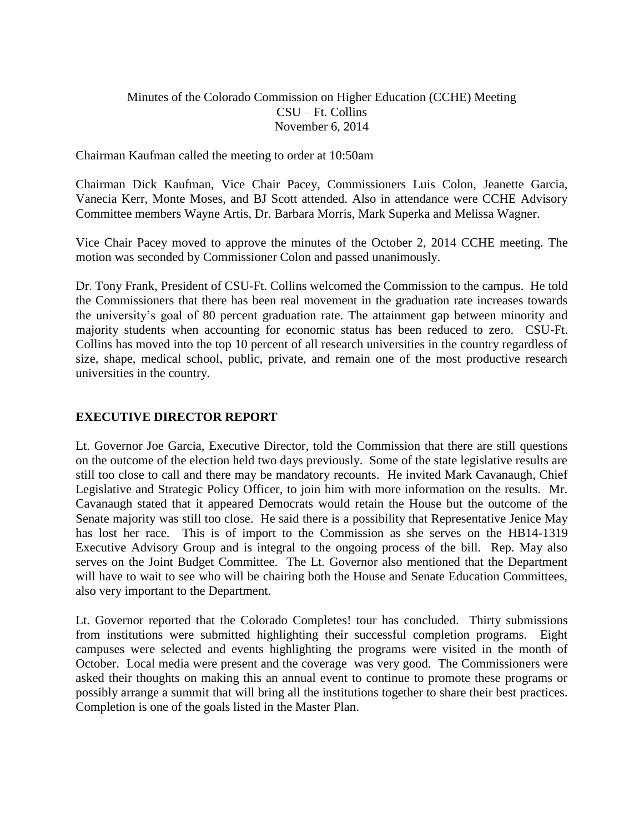# Minutes of the Colorado Commission on Higher Education (CCHE) Meeting CSU – Ft. Collins November 6, 2014

Chairman Kaufman called the meeting to order at 10:50am

Chairman Dick Kaufman, Vice Chair Pacey, Commissioners Luis Colon, Jeanette Garcia, Vanecia Kerr, Monte Moses, and BJ Scott attended. Also in attendance were CCHE Advisory Committee members Wayne Artis, Dr. Barbara Morris, Mark Superka and Melissa Wagner.

Vice Chair Pacey moved to approve the minutes of the October 2, 2014 CCHE meeting. The motion was seconded by Commissioner Colon and passed unanimously.

Dr. Tony Frank, President of CSU-Ft. Collins welcomed the Commission to the campus. He told the Commissioners that there has been real movement in the graduation rate increases towards the university's goal of 80 percent graduation rate. The attainment gap between minority and majority students when accounting for economic status has been reduced to zero. CSU-Ft. Collins has moved into the top 10 percent of all research universities in the country regardless of size, shape, medical school, public, private, and remain one of the most productive research universities in the country.

# **EXECUTIVE DIRECTOR REPORT**

Lt. Governor Joe Garcia, Executive Director, told the Commission that there are still questions on the outcome of the election held two days previously. Some of the state legislative results are still too close to call and there may be mandatory recounts. He invited Mark Cavanaugh, Chief Legislative and Strategic Policy Officer, to join him with more information on the results. Mr. Cavanaugh stated that it appeared Democrats would retain the House but the outcome of the Senate majority was still too close. He said there is a possibility that Representative Jenice May has lost her race. This is of import to the Commission as she serves on the HB14-1319 Executive Advisory Group and is integral to the ongoing process of the bill. Rep. May also serves on the Joint Budget Committee. The Lt. Governor also mentioned that the Department will have to wait to see who will be chairing both the House and Senate Education Committees, also very important to the Department.

Lt. Governor reported that the Colorado Completes! tour has concluded. Thirty submissions from institutions were submitted highlighting their successful completion programs. Eight campuses were selected and events highlighting the programs were visited in the month of October. Local media were present and the coverage was very good. The Commissioners were asked their thoughts on making this an annual event to continue to promote these programs or possibly arrange a summit that will bring all the institutions together to share their best practices. Completion is one of the goals listed in the Master Plan.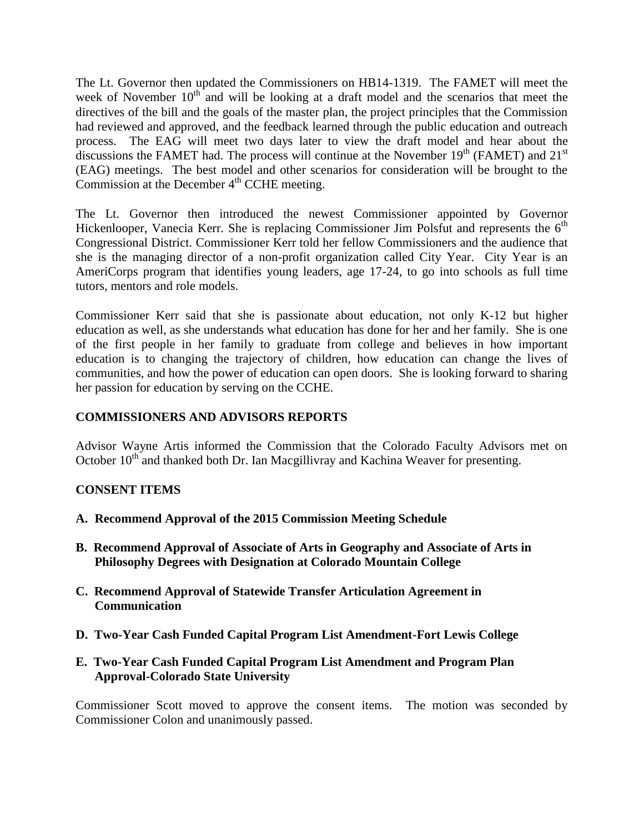The Lt. Governor then updated the Commissioners on HB14-1319. The FAMET will meet the week of November  $10<sup>th</sup>$  and will be looking at a draft model and the scenarios that meet the directives of the bill and the goals of the master plan, the project principles that the Commission had reviewed and approved, and the feedback learned through the public education and outreach process. The EAG will meet two days later to view the draft model and hear about the discussions the FAMET had. The process will continue at the November  $19<sup>th</sup>$  (FAMET) and  $21<sup>st</sup>$ (EAG) meetings. The best model and other scenarios for consideration will be brought to the Commission at the December  $4<sup>th</sup>$  CCHE meeting.

The Lt. Governor then introduced the newest Commissioner appointed by Governor Hickenlooper, Vanecia Kerr. She is replacing Commissioner Jim Polsfut and represents the  $6<sup>th</sup>$ Congressional District. Commissioner Kerr told her fellow Commissioners and the audience that she is the managing director of a non-profit organization called City Year. City Year is an AmeriCorps program that identifies young leaders, age 17-24, to go into schools as full time tutors, mentors and role models.

Commissioner Kerr said that she is passionate about education, not only K-12 but higher education as well, as she understands what education has done for her and her family. She is one of the first people in her family to graduate from college and believes in how important education is to changing the trajectory of children, how education can change the lives of communities, and how the power of education can open doors. She is looking forward to sharing her passion for education by serving on the CCHE.

# **COMMISSIONERS AND ADVISORS REPORTS**

Advisor Wayne Artis informed the Commission that the Colorado Faculty Advisors met on October  $10<sup>th</sup>$  and thanked both Dr. Ian Macgillivray and Kachina Weaver for presenting.

# **CONSENT ITEMS**

- **A. Recommend Approval of the 2015 Commission Meeting Schedule**
- **B. Recommend Approval of Associate of Arts in Geography and Associate of Arts in Philosophy Degrees with Designation at Colorado Mountain College**
- **C. Recommend Approval of Statewide Transfer Articulation Agreement in Communication**
- **D. Two-Year Cash Funded Capital Program List Amendment-Fort Lewis College**
- **E. Two-Year Cash Funded Capital Program List Amendment and Program Plan Approval-Colorado State University**

Commissioner Scott moved to approve the consent items. The motion was seconded by Commissioner Colon and unanimously passed.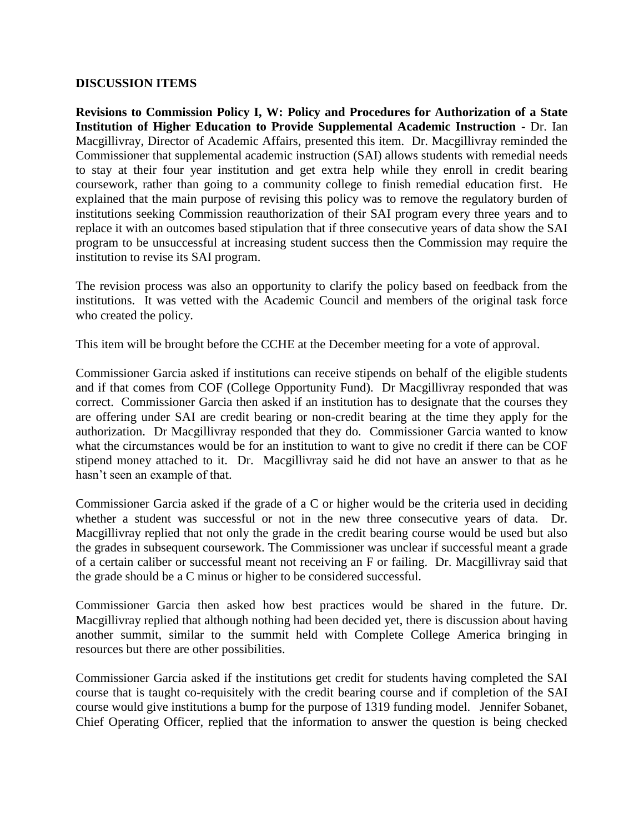#### **DISCUSSION ITEMS**

**Revisions to Commission Policy I, W: [Policy and Procedures for Authorization of a State](http://highered.colorado.gov/stats/track.asp?mtr=/Publications/Policies/Current/i-partw.pdf)  [Institution of Higher Education to Provide Supplemental Academic Instruction](http://highered.colorado.gov/stats/track.asp?mtr=/Publications/Policies/Current/i-partw.pdf) -** Dr. Ian Macgillivray, Director of Academic Affairs, presented this item. Dr. Macgillivray reminded the Commissioner that supplemental academic instruction (SAI) allows students with remedial needs to stay at their four year institution and get extra help while they enroll in credit bearing coursework, rather than going to a community college to finish remedial education first. He explained that the main purpose of revising this policy was to remove the regulatory burden of institutions seeking Commission reauthorization of their SAI program every three years and to replace it with an outcomes based stipulation that if three consecutive years of data show the SAI program to be unsuccessful at increasing student success then the Commission may require the institution to revise its SAI program.

The revision process was also an opportunity to clarify the policy based on feedback from the institutions. It was vetted with the Academic Council and members of the original task force who created the policy.

This item will be brought before the CCHE at the December meeting for a vote of approval.

Commissioner Garcia asked if institutions can receive stipends on behalf of the eligible students and if that comes from COF (College Opportunity Fund). Dr Macgillivray responded that was correct. Commissioner Garcia then asked if an institution has to designate that the courses they are offering under SAI are credit bearing or non-credit bearing at the time they apply for the authorization. Dr Macgillivray responded that they do. Commissioner Garcia wanted to know what the circumstances would be for an institution to want to give no credit if there can be COF stipend money attached to it. Dr. Macgillivray said he did not have an answer to that as he hasn't seen an example of that.

Commissioner Garcia asked if the grade of a C or higher would be the criteria used in deciding whether a student was successful or not in the new three consecutive years of data. Dr. Macgillivray replied that not only the grade in the credit bearing course would be used but also the grades in subsequent coursework. The Commissioner was unclear if successful meant a grade of a certain caliber or successful meant not receiving an F or failing. Dr. Macgillivray said that the grade should be a C minus or higher to be considered successful.

Commissioner Garcia then asked how best practices would be shared in the future. Dr. Macgillivray replied that although nothing had been decided yet, there is discussion about having another summit, similar to the summit held with Complete College America bringing in resources but there are other possibilities.

Commissioner Garcia asked if the institutions get credit for students having completed the SAI course that is taught co-requisitely with the credit bearing course and if completion of the SAI course would give institutions a bump for the purpose of 1319 funding model. Jennifer Sobanet, Chief Operating Officer, replied that the information to answer the question is being checked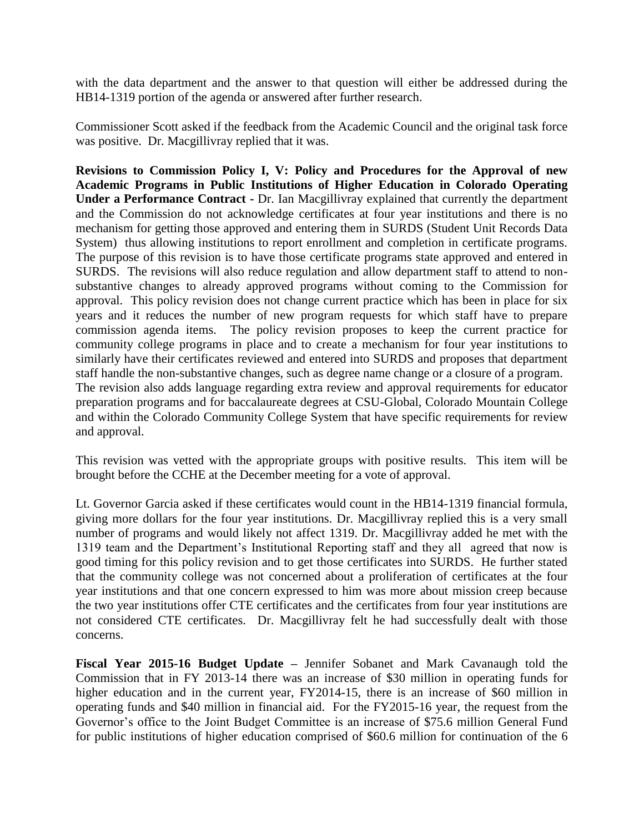with the data department and the answer to that question will either be addressed during the HB14-1319 portion of the agenda or answered after further research.

Commissioner Scott asked if the feedback from the Academic Council and the original task force was positive. Dr. Macgillivray replied that it was.

**Revisions to Commission Policy I, V: [Policy and Procedures for the Approval of new](http://highered.colorado.gov/stats/track.asp?mtr=/Publications/Policies/Current/i-partv.pdf)  Academic Programs in Public [Institutions of Higher Education in Colorado Operating](http://highered.colorado.gov/stats/track.asp?mtr=/Publications/Policies/Current/i-partv.pdf)  [Under a Performance Contract](http://highered.colorado.gov/stats/track.asp?mtr=/Publications/Policies/Current/i-partv.pdf) -** Dr. Ian Macgillivray explained that currently the department and the Commission do not acknowledge certificates at four year institutions and there is no mechanism for getting those approved and entering them in SURDS (Student Unit Records Data System) thus allowing institutions to report enrollment and completion in certificate programs. The purpose of this revision is to have those certificate programs state approved and entered in SURDS. The revisions will also reduce regulation and allow department staff to attend to nonsubstantive changes to already approved programs without coming to the Commission for approval. This policy revision does not change current practice which has been in place for six years and it reduces the number of new program requests for which staff have to prepare commission agenda items. The policy revision proposes to keep the current practice for community college programs in place and to create a mechanism for four year institutions to similarly have their certificates reviewed and entered into SURDS and proposes that department staff handle the non-substantive changes, such as degree name change or a closure of a program. The revision also adds language regarding extra review and approval requirements for educator preparation programs and for baccalaureate degrees at CSU-Global, Colorado Mountain College and within the Colorado Community College System that have specific requirements for review and approval.

This revision was vetted with the appropriate groups with positive results. This item will be brought before the CCHE at the December meeting for a vote of approval.

Lt. Governor Garcia asked if these certificates would count in the HB14-1319 financial formula, giving more dollars for the four year institutions. Dr. Macgillivray replied this is a very small number of programs and would likely not affect 1319. Dr. Macgillivray added he met with the 1319 team and the Department's Institutional Reporting staff and they all agreed that now is good timing for this policy revision and to get those certificates into SURDS. He further stated that the community college was not concerned about a proliferation of certificates at the four year institutions and that one concern expressed to him was more about mission creep because the two year institutions offer CTE certificates and the certificates from four year institutions are not considered CTE certificates. Dr. Macgillivray felt he had successfully dealt with those concerns.

**Fiscal Year 2015-16 Budget Update –** Jennifer Sobanet and Mark Cavanaugh told the Commission that in FY 2013-14 there was an increase of \$30 million in operating funds for higher education and in the current year, FY2014-15, there is an increase of \$60 million in operating funds and \$40 million in financial aid. For the FY2015-16 year, the request from the Governor's office to the Joint Budget Committee is an increase of \$75.6 million General Fund for public institutions of higher education comprised of \$60.6 million for continuation of the 6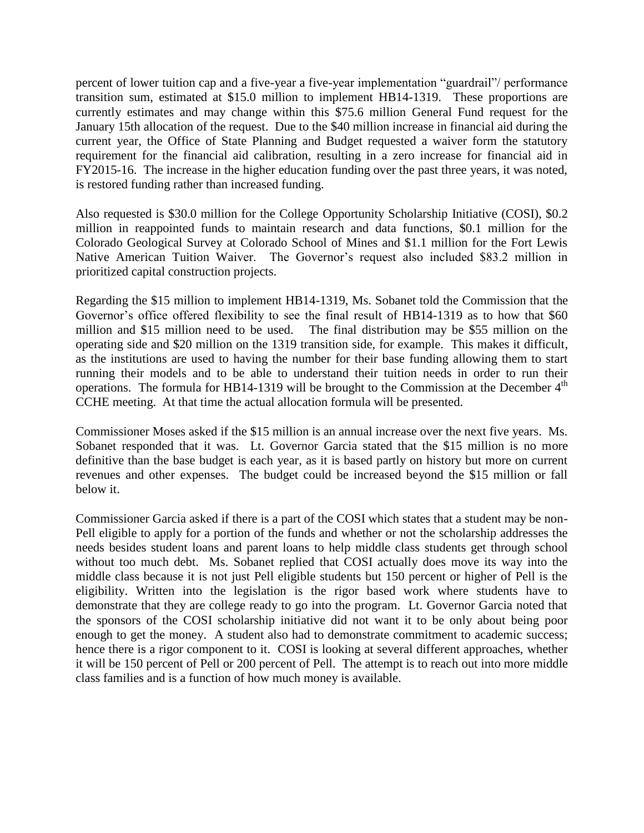percent of lower tuition cap and a five-year a five-year implementation "guardrail"/ performance transition sum, estimated at \$15.0 million to implement HB14-1319. These proportions are currently estimates and may change within this \$75.6 million General Fund request for the January 15th allocation of the request. Due to the \$40 million increase in financial aid during the current year, the Office of State Planning and Budget requested a waiver form the statutory requirement for the financial aid calibration, resulting in a zero increase for financial aid in FY2015-16. The increase in the higher education funding over the past three years, it was noted, is restored funding rather than increased funding.

Also requested is \$30.0 million for the College Opportunity Scholarship Initiative (COSI), \$0.2 million in reappointed funds to maintain research and data functions, \$0.1 million for the Colorado Geological Survey at Colorado School of Mines and \$1.1 million for the Fort Lewis Native American Tuition Waiver. The Governor's request also included \$83.2 million in prioritized capital construction projects.

Regarding the \$15 million to implement HB14-1319, Ms. Sobanet told the Commission that the Governor's office offered flexibility to see the final result of HB14-1319 as to how that \$60 million and \$15 million need to be used. The final distribution may be \$55 million on the operating side and \$20 million on the 1319 transition side, for example. This makes it difficult, as the institutions are used to having the number for their base funding allowing them to start running their models and to be able to understand their tuition needs in order to run their operations. The formula for HB14-1319 will be brought to the Commission at the December  $4<sup>th</sup>$ CCHE meeting. At that time the actual allocation formula will be presented.

Commissioner Moses asked if the \$15 million is an annual increase over the next five years. Ms. Sobanet responded that it was. Lt. Governor Garcia stated that the \$15 million is no more definitive than the base budget is each year, as it is based partly on history but more on current revenues and other expenses. The budget could be increased beyond the \$15 million or fall below it.

Commissioner Garcia asked if there is a part of the COSI which states that a student may be non-Pell eligible to apply for a portion of the funds and whether or not the scholarship addresses the needs besides student loans and parent loans to help middle class students get through school without too much debt. Ms. Sobanet replied that COSI actually does move its way into the middle class because it is not just Pell eligible students but 150 percent or higher of Pell is the eligibility. Written into the legislation is the rigor based work where students have to demonstrate that they are college ready to go into the program. Lt. Governor Garcia noted that the sponsors of the COSI scholarship initiative did not want it to be only about being poor enough to get the money. A student also had to demonstrate commitment to academic success; hence there is a rigor component to it. COSI is looking at several different approaches, whether it will be 150 percent of Pell or 200 percent of Pell. The attempt is to reach out into more middle class families and is a function of how much money is available.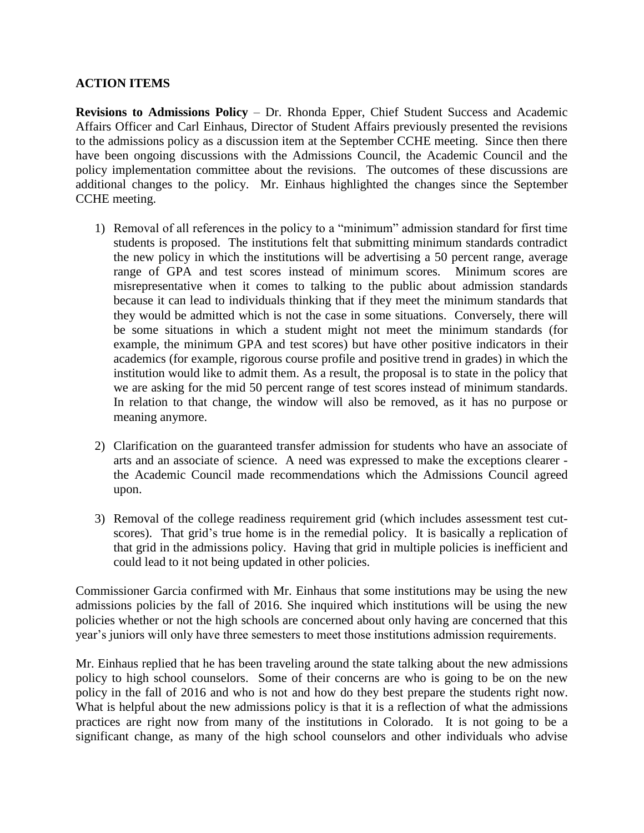# **ACTION ITEMS**

**Revisions to Admissions Policy** – Dr. Rhonda Epper, Chief Student Success and Academic Affairs Officer and Carl Einhaus, Director of Student Affairs previously presented the revisions to the admissions policy as a discussion item at the September CCHE meeting. Since then there have been ongoing discussions with the Admissions Council, the Academic Council and the policy implementation committee about the revisions. The outcomes of these discussions are additional changes to the policy. Mr. Einhaus highlighted the changes since the September CCHE meeting.

- 1) Removal of all references in the policy to a "minimum" admission standard for first time students is proposed. The institutions felt that submitting minimum standards contradict the new policy in which the institutions will be advertising a 50 percent range, average range of GPA and test scores instead of minimum scores. Minimum scores are misrepresentative when it comes to talking to the public about admission standards because it can lead to individuals thinking that if they meet the minimum standards that they would be admitted which is not the case in some situations. Conversely, there will be some situations in which a student might not meet the minimum standards (for example, the minimum GPA and test scores) but have other positive indicators in their academics (for example, rigorous course profile and positive trend in grades) in which the institution would like to admit them. As a result, the proposal is to state in the policy that we are asking for the mid 50 percent range of test scores instead of minimum standards. In relation to that change, the window will also be removed, as it has no purpose or meaning anymore.
- 2) Clarification on the guaranteed transfer admission for students who have an associate of arts and an associate of science. A need was expressed to make the exceptions clearer the Academic Council made recommendations which the Admissions Council agreed upon.
- 3) Removal of the college readiness requirement grid (which includes assessment test cutscores). That grid's true home is in the remedial policy. It is basically a replication of that grid in the admissions policy. Having that grid in multiple policies is inefficient and could lead to it not being updated in other policies.

Commissioner Garcia confirmed with Mr. Einhaus that some institutions may be using the new admissions policies by the fall of 2016. She inquired which institutions will be using the new policies whether or not the high schools are concerned about only having are concerned that this year's juniors will only have three semesters to meet those institutions admission requirements.

Mr. Einhaus replied that he has been traveling around the state talking about the new admissions policy to high school counselors. Some of their concerns are who is going to be on the new policy in the fall of 2016 and who is not and how do they best prepare the students right now. What is helpful about the new admissions policy is that it is a reflection of what the admissions practices are right now from many of the institutions in Colorado. It is not going to be a significant change, as many of the high school counselors and other individuals who advise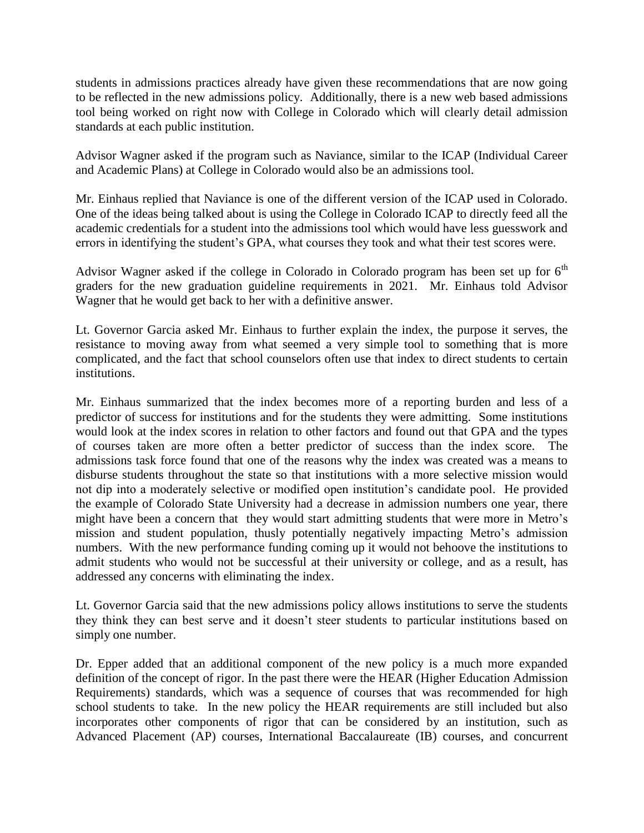students in admissions practices already have given these recommendations that are now going to be reflected in the new admissions policy. Additionally, there is a new web based admissions tool being worked on right now with College in Colorado which will clearly detail admission standards at each public institution.

Advisor Wagner asked if the program such as Naviance, similar to the ICAP (Individual Career and Academic Plans) at College in Colorado would also be an admissions tool.

Mr. Einhaus replied that Naviance is one of the different version of the ICAP used in Colorado. One of the ideas being talked about is using the College in Colorado ICAP to directly feed all the academic credentials for a student into the admissions tool which would have less guesswork and errors in identifying the student's GPA, what courses they took and what their test scores were.

Advisor Wagner asked if the college in Colorado in Colorado program has been set up for  $6<sup>th</sup>$ graders for the new graduation guideline requirements in 2021. Mr. Einhaus told Advisor Wagner that he would get back to her with a definitive answer.

Lt. Governor Garcia asked Mr. Einhaus to further explain the index, the purpose it serves, the resistance to moving away from what seemed a very simple tool to something that is more complicated, and the fact that school counselors often use that index to direct students to certain institutions.

Mr. Einhaus summarized that the index becomes more of a reporting burden and less of a predictor of success for institutions and for the students they were admitting. Some institutions would look at the index scores in relation to other factors and found out that GPA and the types of courses taken are more often a better predictor of success than the index score. The admissions task force found that one of the reasons why the index was created was a means to disburse students throughout the state so that institutions with a more selective mission would not dip into a moderately selective or modified open institution's candidate pool. He provided the example of Colorado State University had a decrease in admission numbers one year, there might have been a concern that they would start admitting students that were more in Metro's mission and student population, thusly potentially negatively impacting Metro's admission numbers. With the new performance funding coming up it would not behoove the institutions to admit students who would not be successful at their university or college, and as a result, has addressed any concerns with eliminating the index.

Lt. Governor Garcia said that the new admissions policy allows institutions to serve the students they think they can best serve and it doesn't steer students to particular institutions based on simply one number.

Dr. Epper added that an additional component of the new policy is a much more expanded definition of the concept of rigor. In the past there were the HEAR (Higher Education Admission Requirements) standards, which was a sequence of courses that was recommended for high school students to take. In the new policy the HEAR requirements are still included but also incorporates other components of rigor that can be considered by an institution, such as Advanced Placement (AP) courses, International Baccalaureate (IB) courses, and concurrent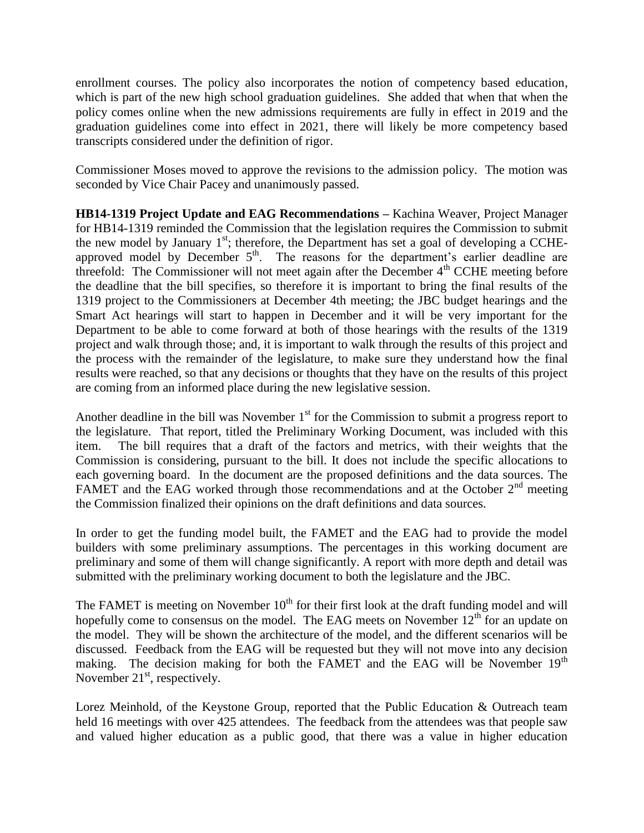enrollment courses. The policy also incorporates the notion of competency based education, which is part of the new high school graduation guidelines. She added that when that when the policy comes online when the new admissions requirements are fully in effect in 2019 and the graduation guidelines come into effect in 2021, there will likely be more competency based transcripts considered under the definition of rigor.

Commissioner Moses moved to approve the revisions to the admission policy. The motion was seconded by Vice Chair Pacey and unanimously passed.

**HB14-1319 [Project Update and EAG Recommendations](http://highered.colorado.gov/CCHE/Meetings/2014/oct/Agenda%20Item%20IV%20A%20HB%2014-1319%20Update.pdf) –** Kachina Weaver, Project Manager for HB14-1319 reminded the Commission that the legislation requires the Commission to submit the new model by January  $1<sup>st</sup>$ ; therefore, the Department has set a goal of developing a CCHEapproved model by December  $5<sup>th</sup>$ . The reasons for the department's earlier deadline are threefold: The Commissioner will not meet again after the December  $4<sup>th</sup>$  CCHE meeting before the deadline that the bill specifies, so therefore it is important to bring the final results of the 1319 project to the Commissioners at December 4th meeting; the JBC budget hearings and the Smart Act hearings will start to happen in December and it will be very important for the Department to be able to come forward at both of those hearings with the results of the 1319 project and walk through those; and, it is important to walk through the results of this project and the process with the remainder of the legislature, to make sure they understand how the final results were reached, so that any decisions or thoughts that they have on the results of this project are coming from an informed place during the new legislative session.

Another deadline in the bill was November  $1<sup>st</sup>$  for the Commission to submit a progress report to the legislature. That report, titled the Preliminary Working Document, was included with this item. The bill requires that a draft of the factors and metrics, with their weights that the Commission is considering, pursuant to the bill. It does not include the specific allocations to each governing board. In the document are the proposed definitions and the data sources. The FAMET and the EAG worked through those recommendations and at the October  $2<sup>nd</sup>$  meeting the Commission finalized their opinions on the draft definitions and data sources.

In order to get the funding model built, the FAMET and the EAG had to provide the model builders with some preliminary assumptions. The percentages in this working document are preliminary and some of them will change significantly. A report with more depth and detail was submitted with the preliminary working document to both the legislature and the JBC.

The FAMET is meeting on November  $10<sup>th</sup>$  for their first look at the draft funding model and will hopefully come to consensus on the model. The EAG meets on November  $12<sup>th</sup>$  for an update on the model. They will be shown the architecture of the model, and the different scenarios will be discussed. Feedback from the EAG will be requested but they will not move into any decision making. The decision making for both the FAMET and the EAG will be November  $19<sup>m</sup>$ November  $21<sup>st</sup>$ , respectively.

Lorez Meinhold, of the Keystone Group, reported that the Public Education & Outreach team held 16 meetings with over 425 attendees. The feedback from the attendees was that people saw and valued higher education as a public good, that there was a value in higher education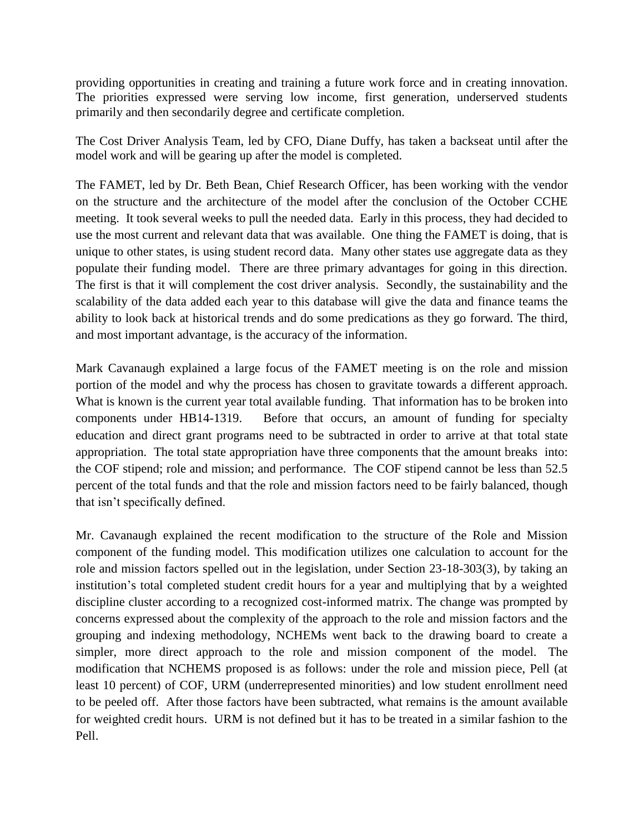providing opportunities in creating and training a future work force and in creating innovation. The priorities expressed were serving low income, first generation, underserved students primarily and then secondarily degree and certificate completion.

The Cost Driver Analysis Team, led by CFO, Diane Duffy, has taken a backseat until after the model work and will be gearing up after the model is completed.

The FAMET, led by Dr. Beth Bean, Chief Research Officer, has been working with the vendor on the structure and the architecture of the model after the conclusion of the October CCHE meeting. It took several weeks to pull the needed data. Early in this process, they had decided to use the most current and relevant data that was available. One thing the FAMET is doing, that is unique to other states, is using student record data. Many other states use aggregate data as they populate their funding model. There are three primary advantages for going in this direction. The first is that it will complement the cost driver analysis. Secondly, the sustainability and the scalability of the data added each year to this database will give the data and finance teams the ability to look back at historical trends and do some predications as they go forward. The third, and most important advantage, is the accuracy of the information.

Mark Cavanaugh explained a large focus of the FAMET meeting is on the role and mission portion of the model and why the process has chosen to gravitate towards a different approach. What is known is the current year total available funding. That information has to be broken into components under HB14-1319. Before that occurs, an amount of funding for specialty education and direct grant programs need to be subtracted in order to arrive at that total state appropriation. The total state appropriation have three components that the amount breaks into: the COF stipend; role and mission; and performance. The COF stipend cannot be less than 52.5 percent of the total funds and that the role and mission factors need to be fairly balanced, though that isn't specifically defined.

Mr. Cavanaugh explained the recent modification to the structure of the Role and Mission component of the funding model. This modification utilizes one calculation to account for the role and mission factors spelled out in the legislation, under Section 23-18-303(3), by taking an institution's total completed student credit hours for a year and multiplying that by a weighted discipline cluster according to a recognized cost-informed matrix. The change was prompted by concerns expressed about the complexity of the approach to the role and mission factors and the grouping and indexing methodology, NCHEMs went back to the drawing board to create a simpler, more direct approach to the role and mission component of the model. The modification that NCHEMS proposed is as follows: under the role and mission piece, Pell (at least 10 percent) of COF, URM (underrepresented minorities) and low student enrollment need to be peeled off. After those factors have been subtracted, what remains is the amount available for weighted credit hours. URM is not defined but it has to be treated in a similar fashion to the Pell.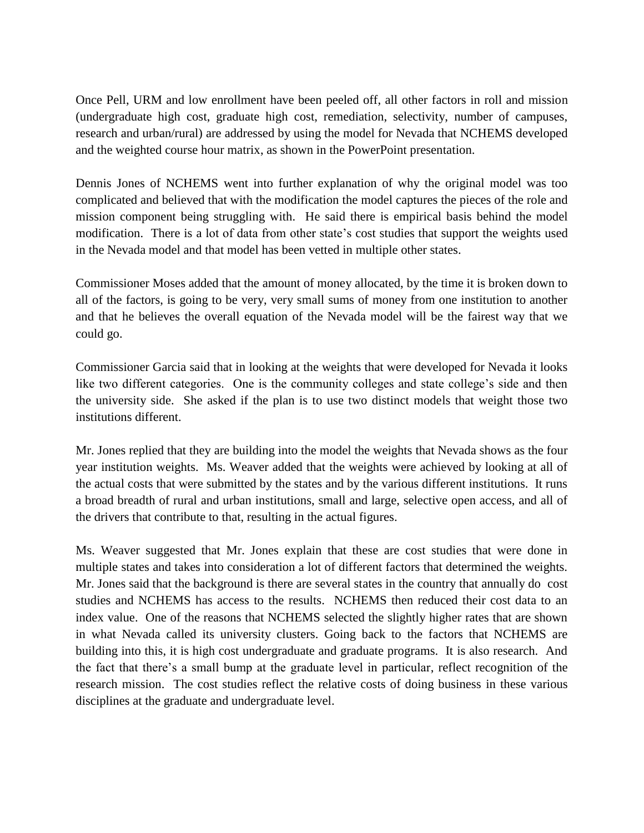Once Pell, URM and low enrollment have been peeled off, all other factors in roll and mission (undergraduate high cost, graduate high cost, remediation, selectivity, number of campuses, research and urban/rural) are addressed by using the model for Nevada that NCHEMS developed and the weighted course hour matrix, as shown in the PowerPoint presentation.

Dennis Jones of NCHEMS went into further explanation of why the original model was too complicated and believed that with the modification the model captures the pieces of the role and mission component being struggling with. He said there is empirical basis behind the model modification. There is a lot of data from other state's cost studies that support the weights used in the Nevada model and that model has been vetted in multiple other states.

Commissioner Moses added that the amount of money allocated, by the time it is broken down to all of the factors, is going to be very, very small sums of money from one institution to another and that he believes the overall equation of the Nevada model will be the fairest way that we could go.

Commissioner Garcia said that in looking at the weights that were developed for Nevada it looks like two different categories. One is the community colleges and state college's side and then the university side. She asked if the plan is to use two distinct models that weight those two institutions different.

Mr. Jones replied that they are building into the model the weights that Nevada shows as the four year institution weights. Ms. Weaver added that the weights were achieved by looking at all of the actual costs that were submitted by the states and by the various different institutions. It runs a broad breadth of rural and urban institutions, small and large, selective open access, and all of the drivers that contribute to that, resulting in the actual figures.

Ms. Weaver suggested that Mr. Jones explain that these are cost studies that were done in multiple states and takes into consideration a lot of different factors that determined the weights. Mr. Jones said that the background is there are several states in the country that annually do cost studies and NCHEMS has access to the results. NCHEMS then reduced their cost data to an index value. One of the reasons that NCHEMS selected the slightly higher rates that are shown in what Nevada called its university clusters. Going back to the factors that NCHEMS are building into this, it is high cost undergraduate and graduate programs. It is also research. And the fact that there's a small bump at the graduate level in particular, reflect recognition of the research mission. The cost studies reflect the relative costs of doing business in these various disciplines at the graduate and undergraduate level.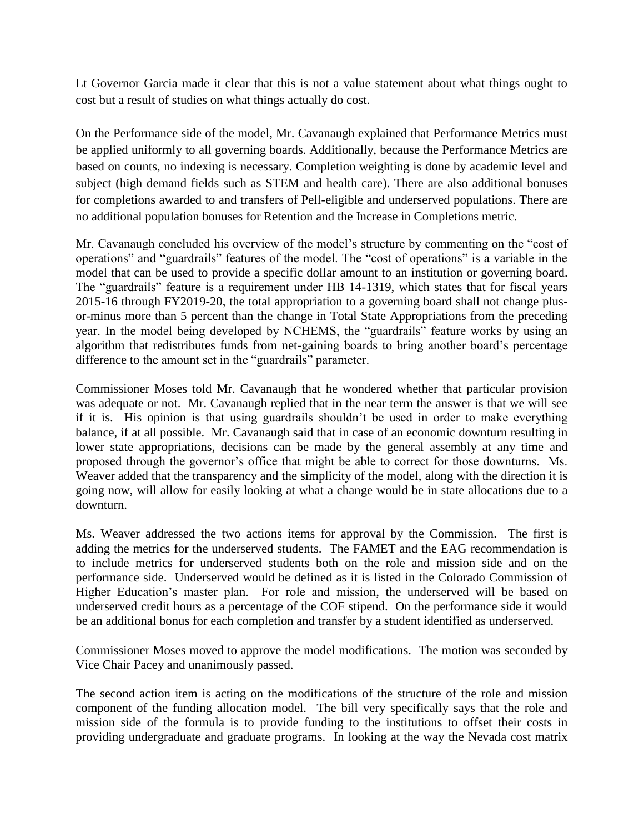Lt Governor Garcia made it clear that this is not a value statement about what things ought to cost but a result of studies on what things actually do cost.

On the Performance side of the model, Mr. Cavanaugh explained that Performance Metrics must be applied uniformly to all governing boards. Additionally, because the Performance Metrics are based on counts, no indexing is necessary. Completion weighting is done by academic level and subject (high demand fields such as STEM and health care). There are also additional bonuses for completions awarded to and transfers of Pell-eligible and underserved populations. There are no additional population bonuses for Retention and the Increase in Completions metric.

Mr. Cavanaugh concluded his overview of the model's structure by commenting on the "cost of operations" and "guardrails" features of the model. The "cost of operations" is a variable in the model that can be used to provide a specific dollar amount to an institution or governing board. The "guardrails" feature is a requirement under HB 14-1319, which states that for fiscal years 2015-16 through FY2019-20, the total appropriation to a governing board shall not change plusor-minus more than 5 percent than the change in Total State Appropriations from the preceding year. In the model being developed by NCHEMS, the "guardrails" feature works by using an algorithm that redistributes funds from net-gaining boards to bring another board's percentage difference to the amount set in the "guardrails" parameter.

Commissioner Moses told Mr. Cavanaugh that he wondered whether that particular provision was adequate or not. Mr. Cavanaugh replied that in the near term the answer is that we will see if it is. His opinion is that using guardrails shouldn't be used in order to make everything balance, if at all possible. Mr. Cavanaugh said that in case of an economic downturn resulting in lower state appropriations, decisions can be made by the general assembly at any time and proposed through the governor's office that might be able to correct for those downturns. Ms. Weaver added that the transparency and the simplicity of the model, along with the direction it is going now, will allow for easily looking at what a change would be in state allocations due to a downturn.

Ms. Weaver addressed the two actions items for approval by the Commission. The first is adding the metrics for the underserved students. The FAMET and the EAG recommendation is to include metrics for underserved students both on the role and mission side and on the performance side. Underserved would be defined as it is listed in the Colorado Commission of Higher Education's master plan. For role and mission, the underserved will be based on underserved credit hours as a percentage of the COF stipend. On the performance side it would be an additional bonus for each completion and transfer by a student identified as underserved.

Commissioner Moses moved to approve the model modifications. The motion was seconded by Vice Chair Pacey and unanimously passed.

The second action item is acting on the modifications of the structure of the role and mission component of the funding allocation model. The bill very specifically says that the role and mission side of the formula is to provide funding to the institutions to offset their costs in providing undergraduate and graduate programs. In looking at the way the Nevada cost matrix